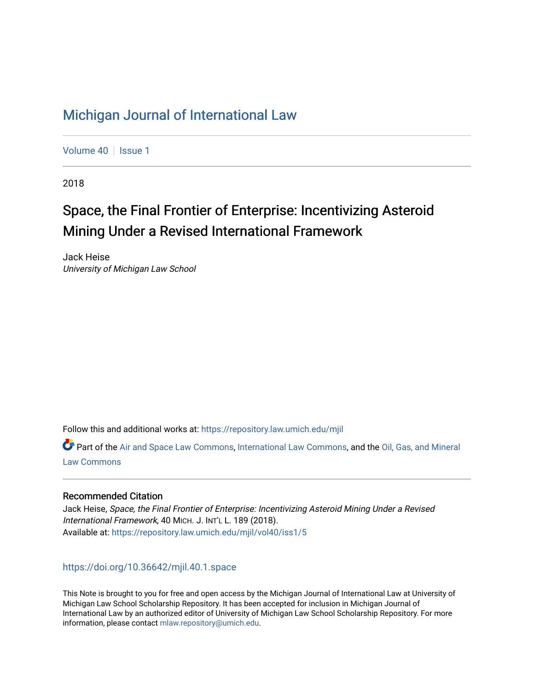# [Michigan Journal of International Law](https://repository.law.umich.edu/mjil)

[Volume 40](https://repository.law.umich.edu/mjil/vol40) | [Issue 1](https://repository.law.umich.edu/mjil/vol40/iss1)

2018

# Space, the Final Frontier of Enterprise: Incentivizing Asteroid Mining Under a Revised International Framework

Jack Heise University of Michigan Law School

Follow this and additional works at: [https://repository.law.umich.edu/mjil](https://repository.law.umich.edu/mjil?utm_source=repository.law.umich.edu%2Fmjil%2Fvol40%2Fiss1%2F5&utm_medium=PDF&utm_campaign=PDFCoverPages) 

Part of the [Air and Space Law Commons](http://network.bepress.com/hgg/discipline/830?utm_source=repository.law.umich.edu%2Fmjil%2Fvol40%2Fiss1%2F5&utm_medium=PDF&utm_campaign=PDFCoverPages), [International Law Commons,](http://network.bepress.com/hgg/discipline/609?utm_source=repository.law.umich.edu%2Fmjil%2Fvol40%2Fiss1%2F5&utm_medium=PDF&utm_campaign=PDFCoverPages) and the [Oil, Gas, and Mineral](http://network.bepress.com/hgg/discipline/864?utm_source=repository.law.umich.edu%2Fmjil%2Fvol40%2Fiss1%2F5&utm_medium=PDF&utm_campaign=PDFCoverPages)  [Law Commons](http://network.bepress.com/hgg/discipline/864?utm_source=repository.law.umich.edu%2Fmjil%2Fvol40%2Fiss1%2F5&utm_medium=PDF&utm_campaign=PDFCoverPages) 

# Recommended Citation

Jack Heise, Space, the Final Frontier of Enterprise: Incentivizing Asteroid Mining Under a Revised International Framework, 40 MICH. J. INT'L L. 189 (2018). Available at: [https://repository.law.umich.edu/mjil/vol40/iss1/5](https://repository.law.umich.edu/mjil/vol40/iss1/5?utm_source=repository.law.umich.edu%2Fmjil%2Fvol40%2Fiss1%2F5&utm_medium=PDF&utm_campaign=PDFCoverPages) 

<https://doi.org/10.36642/mjil.40.1.space>

This Note is brought to you for free and open access by the Michigan Journal of International Law at University of Michigan Law School Scholarship Repository. It has been accepted for inclusion in Michigan Journal of International Law by an authorized editor of University of Michigan Law School Scholarship Repository. For more information, please contact [mlaw.repository@umich.edu](mailto:mlaw.repository@umich.edu).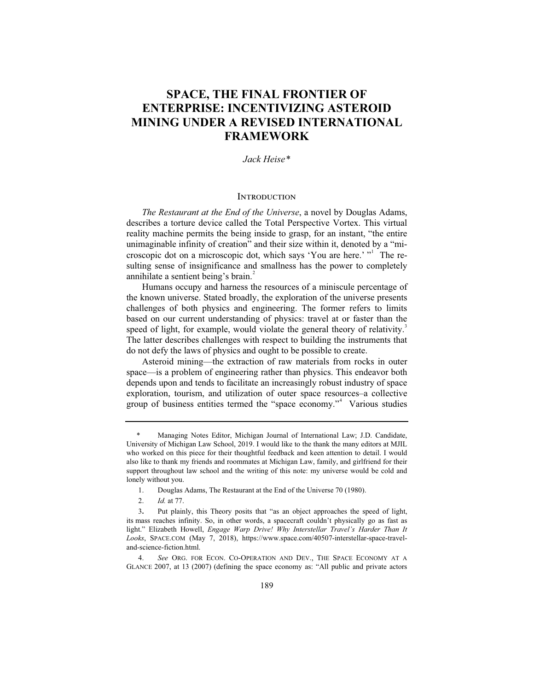# **SPACE, THE FINAL FRONTIER OF ENTERPRISE: INCENTIVIZING ASTEROID MINING UNDER A REVISED INTERNATIONAL FRAMEWORK**

*Jack Heise\**

### **INTRODUCTION**

*The Restaurant at the End of the Universe*, a novel by Douglas Adams, describes a torture device called the Total Perspective Vortex. This virtual reality machine permits the being inside to grasp, for an instant, "the entire unimaginable infinity of creation" and their size within it, denoted by a "microscopic dot on a microscopic dot, which says 'You are here.' "<sup>1</sup> The resulting sense of insignificance and smallness has the power to completely annihilate a sentient being's brain.<sup>2</sup>

Humans occupy and harness the resources of a miniscule percentage of the known universe. Stated broadly, the exploration of the universe presents challenges of both physics and engineering. The former refers to limits based on our current understanding of physics: travel at or faster than the speed of light, for example, would violate the general theory of relativity.<sup>3</sup> The latter describes challenges with respect to building the instruments that do not defy the laws of physics and ought to be possible to create.

Asteroid mining—the extraction of raw materials from rocks in outer space—is a problem of engineering rather than physics. This endeavor both depends upon and tends to facilitate an increasingly robust industry of space exploration, tourism, and utilization of outer space resources–a collective group of business entities termed the "space economy."<sup>4</sup> Various studies

 <sup>\*</sup> Managing Notes Editor, Michigan Journal of International Law; J.D. Candidate, University of Michigan Law School, 2019. I would like to the thank the many editors at MJIL who worked on this piece for their thoughtful feedback and keen attention to detail. I would also like to thank my friends and roommates at Michigan Law, family, and girlfriend for their support throughout law school and the writing of this note: my universe would be cold and lonely without you.

 <sup>1.</sup> Douglas Adams, The Restaurant at the End of the Universe 70 (1980).

 <sup>2.</sup> *Id.* at 77.

<sup>3</sup>**.** Put plainly, this Theory posits that "as an object approaches the speed of light, its mass reaches infinity. So, in other words, a spacecraft couldn't physically go as fast as light." Elizabeth Howell, *Engage Warp Drive! Why Interstellar Travel's Harder Than It Looks*, SPACE.COM (May 7, 2018), https://www.space.com/40507-interstellar-space-traveland-science-fiction.html.

 <sup>4.</sup> *See* ORG. FOR ECON. CO-OPERATION AND DEV., THE SPACE ECONOMY AT A GLANCE 2007, at 13 (2007) (defining the space economy as: "All public and private actors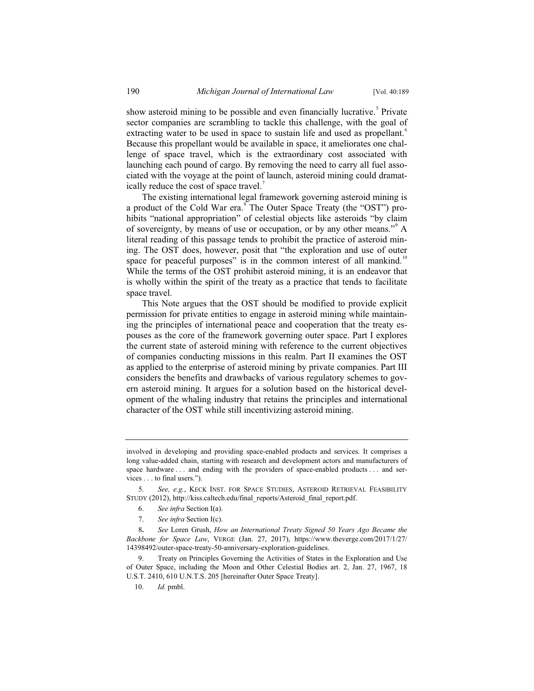show asteroid mining to be possible and even financially lucrative.<sup>5</sup> Private sector companies are scrambling to tackle this challenge, with the goal of extracting water to be used in space to sustain life and used as propellant.<sup>6</sup> Because this propellant would be available in space, it ameliorates one challenge of space travel, which is the extraordinary cost associated with launching each pound of cargo. By removing the need to carry all fuel associated with the voyage at the point of launch, asteroid mining could dramatically reduce the cost of space travel.<sup>7</sup>

The existing international legal framework governing asteroid mining is a product of the Cold War era.<sup>8</sup> The Outer Space Treaty (the "OST") prohibits "national appropriation" of celestial objects like asteroids "by claim of sovereignty, by means of use or occupation, or by any other means."<sup>9</sup> A literal reading of this passage tends to prohibit the practice of asteroid mining. The OST does, however, posit that "the exploration and use of outer space for peaceful purposes" is in the common interest of all mankind.<sup>10</sup> While the terms of the OST prohibit asteroid mining, it is an endeavor that is wholly within the spirit of the treaty as a practice that tends to facilitate space travel.

This Note argues that the OST should be modified to provide explicit permission for private entities to engage in asteroid mining while maintaining the principles of international peace and cooperation that the treaty espouses as the core of the framework governing outer space. Part I explores the current state of asteroid mining with reference to the current objectives of companies conducting missions in this realm. Part II examines the OST as applied to the enterprise of asteroid mining by private companies. Part III considers the benefits and drawbacks of various regulatory schemes to govern asteroid mining. It argues for a solution based on the historical development of the whaling industry that retains the principles and international character of the OST while still incentivizing asteroid mining.

- 6. *See infra* Section I(a).
- 7. *See infra* Section I(c).

involved in developing and providing space-enabled products and services. It comprises a long value-added chain, starting with research and development actors and manufacturers of space hardware . . . and ending with the providers of space-enabled products . . . and services . . . to final users.").

 <sup>5.</sup> *See, e.g.*, KECK INST. FOR SPACE STUDIES, ASTEROID RETRIEVAL FEASIBILITY STUDY (2012), http://kiss.caltech.edu/final\_reports/Asteroid\_final\_report.pdf.

<sup>8</sup>**.** *See* Loren Grush, *How an International Treaty Signed 50 Years Ago Became the Backbone for Space Law*, VERGE (Jan. 27, 2017), https://www.theverge.com/2017/1/27/ 14398492/outer-space-treaty-50-anniversary-exploration-guidelines.

 <sup>9.</sup> Treaty on Principles Governing the Activities of States in the Exploration and Use of Outer Space, including the Moon and Other Celestial Bodies art. 2, Jan. 27, 1967, 18 U.S.T. 2410, 610 U.N.T.S. 205 [hereinafter Outer Space Treaty].

 <sup>10.</sup> *Id.* pmbl.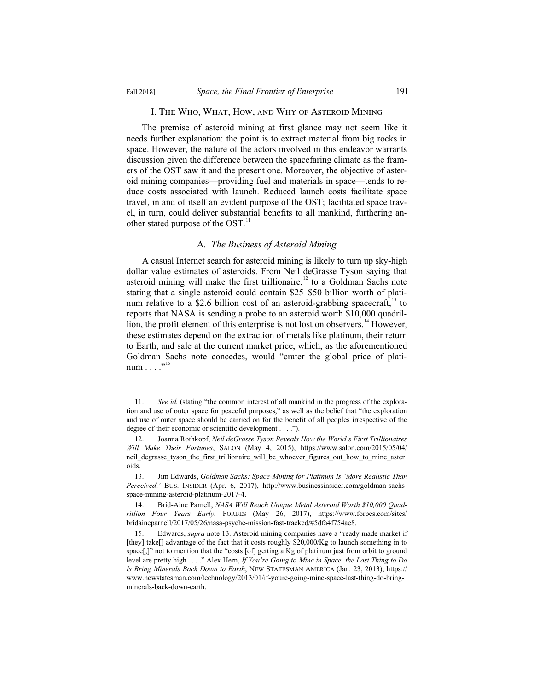#### I. The Who, What, How, and Why of Asteroid Mining

The premise of asteroid mining at first glance may not seem like it needs further explanation: the point is to extract material from big rocks in space. However, the nature of the actors involved in this endeavor warrants discussion given the difference between the spacefaring climate as the framers of the OST saw it and the present one. Moreover, the objective of asteroid mining companies—providing fuel and materials in space—tends to reduce costs associated with launch. Reduced launch costs facilitate space travel, in and of itself an evident purpose of the OST; facilitated space travel, in turn, could deliver substantial benefits to all mankind, furthering another stated purpose of the  $OST$ .<sup>11</sup>

### A*. The Business of Asteroid Mining*

A casual Internet search for asteroid mining is likely to turn up sky-high dollar value estimates of asteroids. From Neil deGrasse Tyson saying that asteroid mining will make the first trillionaire, $12$  to a Goldman Sachs note stating that a single asteroid could contain \$25–\$50 billion worth of platinum relative to a \$2.6 billion cost of an asteroid-grabbing spacecraft, $13$  to reports that NASA is sending a probe to an asteroid worth \$10,000 quadrillion, the profit element of this enterprise is not lost on observers.<sup>14</sup> However, these estimates depend on the extraction of metals like platinum, their return to Earth, and sale at the current market price, which, as the aforementioned Goldman Sachs note concedes, would "crater the global price of platinum  $\ldots$ ..."

 <sup>11.</sup> *See id.* (stating "the common interest of all mankind in the progress of the exploration and use of outer space for peaceful purposes," as well as the belief that "the exploration and use of outer space should be carried on for the benefit of all peoples irrespective of the degree of their economic or scientific development . . . .").

 <sup>12.</sup> Joanna Rothkopf, *Neil deGrasse Tyson Reveals How the World's First Trillionaires Will Make Their Fortunes*, SALON (May 4, 2015), https://www.salon.com/2015/05/04/ neil degrasse tyson the first trillionaire will be whoever figures out how to mine aster oids.

 <sup>13.</sup> Jim Edwards, *Goldman Sachs: Space-Mining for Platinum Is 'More Realistic Than Perceived*,*'* BUS. INSIDER (Apr. 6, 2017), http://www.businessinsider.com/goldman-sachsspace-mining-asteroid-platinum-2017-4.

 <sup>14.</sup> Brid-Aine Parnell, *NASA Will Reach Unique Metal Asteroid Worth \$10,000 Quadrillion Four Years Early*, FORBES (May 26, 2017), https://www.forbes.com/sites/ bridaineparnell/2017/05/26/nasa-psyche-mission-fast-tracked/#5dfa4f754ae8.

 <sup>15.</sup> Edwards, *supra* note 13. Asteroid mining companies have a "ready made market if [they] take[] advantage of the fact that it costs roughly \$20,000/Kg to launch something in to space[,]" not to mention that the "costs [of] getting a Kg of platinum just from orbit to ground level are pretty high . . . ." Alex Hern, *If You're Going to Mine in Space, the Last Thing to Do Is Bring Minerals Back Down to Earth*, NEW STATESMAN AMERICA (Jan. 23, 2013), https:// www.newstatesman.com/technology/2013/01/if-youre-going-mine-space-last-thing-do-bringminerals-back-down-earth.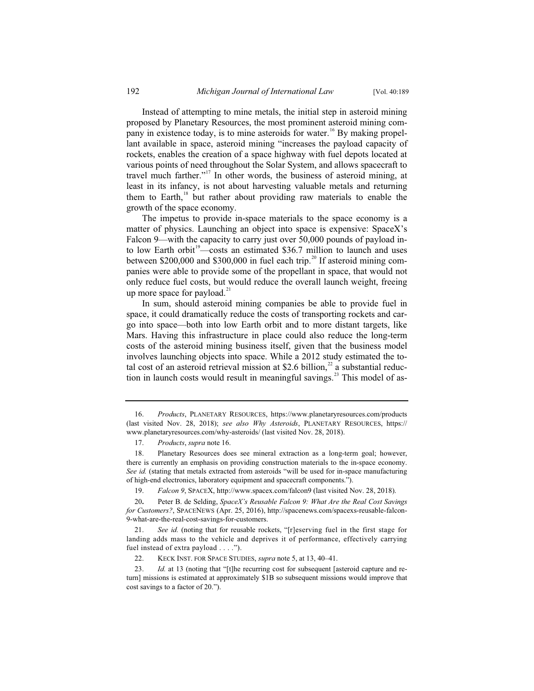Instead of attempting to mine metals, the initial step in asteroid mining proposed by Planetary Resources, the most prominent asteroid mining company in existence today, is to mine asteroids for water.<sup>16</sup> By making propellant available in space, asteroid mining "increases the payload capacity of rockets, enables the creation of a space highway with fuel depots located at various points of need throughout the Solar System, and allows spacecraft to travel much farther."<sup>17</sup> In other words, the business of asteroid mining, at least in its infancy, is not about harvesting valuable metals and returning them to Earth, $18$  but rather about providing raw materials to enable the growth of the space economy.

The impetus to provide in-space materials to the space economy is a matter of physics. Launching an object into space is expensive: SpaceX's Falcon 9—with the capacity to carry just over 50,000 pounds of payload into low Earth orbit<sup>19</sup>—costs an estimated \$36.7 million to launch and uses between \$200,000 and \$300,000 in fuel each trip.<sup>20</sup> If asteroid mining companies were able to provide some of the propellant in space, that would not only reduce fuel costs, but would reduce the overall launch weight, freeing up more space for payload. $21$ 

In sum, should asteroid mining companies be able to provide fuel in space, it could dramatically reduce the costs of transporting rockets and cargo into space—both into low Earth orbit and to more distant targets, like Mars. Having this infrastructure in place could also reduce the long-term costs of the asteroid mining business itself, given that the business model involves launching objects into space. While a 2012 study estimated the total cost of an asteroid retrieval mission at \$2.6 billion, $^{22}$  a substantial reduction in launch costs would result in meaningful savings.<sup>23</sup> This model of as-

 <sup>16.</sup> *Products*, PLANETARY RESOURCES, https://www.planetaryresources.com/products (last visited Nov. 28, 2018); *see also Why Asteroids*, PLANETARY RESOURCES, https:// www.planetaryresources.com/why-asteroids/ (last visited Nov. 28, 2018).

 <sup>17.</sup> *Products*, *supra* note 16.

 <sup>18.</sup> Planetary Resources does see mineral extraction as a long-term goal; however, there is currently an emphasis on providing construction materials to the in-space economy. *See id.* (stating that metals extracted from asteroids "will be used for in-space manufacturing of high-end electronics, laboratory equipment and spacecraft components.").

 <sup>19.</sup> *Falcon 9*, SPACEX, http://www.spacex.com/falcon9 (last visited Nov. 28, 2018).

<sup>20</sup>**.** Peter B. de Selding, *SpaceX's Reusable Falcon 9: What Are the Real Cost Savings for Customers?*, SPACENEWS (Apr. 25, 2016), http://spacenews.com/spacexs-reusable-falcon-9-what-are-the-real-cost-savings-for-customers.

 <sup>21.</sup> *See id.* (noting that for reusable rockets, "[r]eserving fuel in the first stage for landing adds mass to the vehicle and deprives it of performance, effectively carrying fuel instead of extra payload . . . .").

 <sup>22.</sup> KECK INST. FOR SPACE STUDIES, *supra* note 5, at 13, 40–41.

<sup>23.</sup> *Id.* at 13 (noting that "[t]he recurring cost for subsequent [asteroid capture and return] missions is estimated at approximately \$1B so subsequent missions would improve that cost savings to a factor of 20.").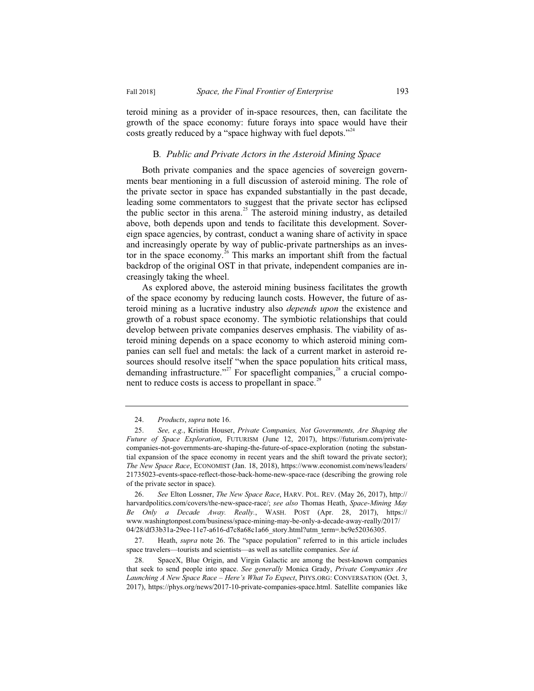teroid mining as a provider of in-space resources, then, can facilitate the growth of the space economy: future forays into space would have their costs greatly reduced by a "space highway with fuel depots."<sup>24</sup>

#### B*. Public and Private Actors in the Asteroid Mining Space*

Both private companies and the space agencies of sovereign governments bear mentioning in a full discussion of asteroid mining. The role of the private sector in space has expanded substantially in the past decade, leading some commentators to suggest that the private sector has eclipsed the public sector in this arena.<sup>25</sup> The asteroid mining industry, as detailed above, both depends upon and tends to facilitate this development. Sovereign space agencies, by contrast, conduct a waning share of activity in space and increasingly operate by way of public-private partnerships as an investor in the space economy.<sup>26</sup> This marks an important shift from the factual backdrop of the original OST in that private, independent companies are increasingly taking the wheel.

As explored above, the asteroid mining business facilitates the growth of the space economy by reducing launch costs. However, the future of asteroid mining as a lucrative industry also *depends upon* the existence and growth of a robust space economy. The symbiotic relationships that could develop between private companies deserves emphasis. The viability of asteroid mining depends on a space economy to which asteroid mining companies can sell fuel and metals: the lack of a current market in asteroid resources should resolve itself "when the space population hits critical mass, demanding infrastructure."<sup>27</sup> For spaceflight companies,<sup>28</sup> a crucial component to reduce costs is access to propellant in space.<sup>29</sup>

 <sup>24.</sup> *Products*, *supra* note 16.

 <sup>25.</sup> *See, e.g.*, Kristin Houser, *Private Companies, Not Governments, Are Shaping the Future of Space Exploration*, FUTURISM (June 12, 2017), https://futurism.com/privatecompanies-not-governments-are-shaping-the-future-of-space-exploration (noting the substantial expansion of the space economy in recent years and the shift toward the private sector); *The New Space Race*, ECONOMIST (Jan. 18, 2018), https://www.economist.com/news/leaders/ 21735023-events-space-reflect-those-back-home-new-space-race (describing the growing role of the private sector in space).

 <sup>26.</sup> *See* Elton Lossner, *The New Space Race*, HARV. POL. REV. (May 26, 2017), http:// harvardpolitics.com/covers/the-new-space-race/; *see also* Thomas Heath, *Space-Mining May Be Only a Decade Away. Really.*, WASH. POST (Apr. 28, 2017), https:// www.washingtonpost.com/business/space-mining-may-be-only-a-decade-away-really/2017/ 04/28/df33b31a-29ee-11e7-a616-d7c8a68c1a66\_story.html?utm\_term=.bc9e52036305.

 <sup>27.</sup> Heath, *supra* note 26. The "space population" referred to in this article includes space travelers—tourists and scientists—as well as satellite companies. *See id.*

 <sup>28.</sup> SpaceX, Blue Origin, and Virgin Galactic are among the best-known companies that seek to send people into space. *See generally* Monica Grady, *Private Companies Are Launching A New Space Race – Here's What To Expect*, PHYS.ORG: CONVERSATION (Oct. 3, 2017), https://phys.org/news/2017-10-private-companies-space.html. Satellite companies like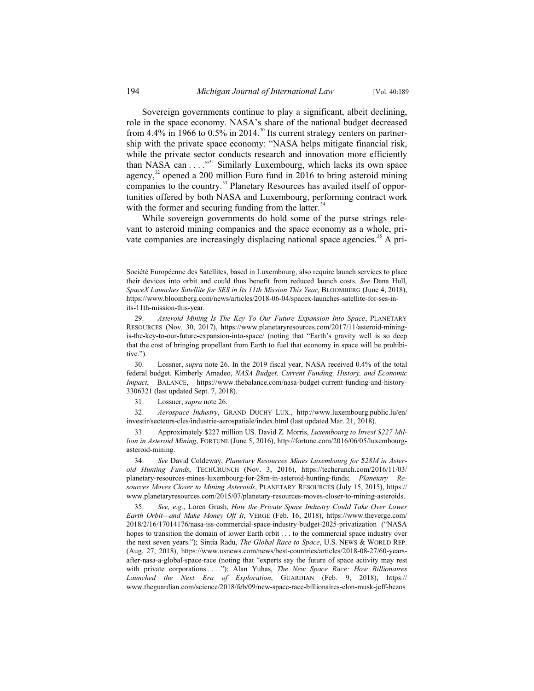Sovereign governments continue to play a significant, albeit declining, role in the space economy. NASA's share of the national budget decreased from 4.4% in 1966 to  $0.5\%$  in 2014.<sup>30</sup> Its current strategy centers on partnership with the private space economy: "NASA helps mitigate financial risk, while the private sector conducts research and innovation more efficiently than NASA can  $\dots$ <sup>31</sup> Similarly Luxembourg, which lacks its own space agency, $32$  opened a 200 million Euro fund in 2016 to bring asteroid mining companies to the country.<sup>33</sup> Planetary Resources has availed itself of opportunities offered by both NASA and Luxembourg, performing contract work with the former and securing funding from the latter.<sup>34</sup>

While sovereign governments do hold some of the purse strings relevant to asteroid mining companies and the space economy as a whole, private companies are increasingly displacing national space agencies.<sup>35</sup> A pri-

Société Européenne des Satellites, based in Luxembourg, also require launch services to place their devices into orbit and could thus benefit from reduced launch costs. *See* Dana Hull, *SpaceX Launches Satellite for SES in Its 11th Mission This Year*, BLOOMBERG (June 4, 2018), https://www.bloomberg.com/news/articles/2018-06-04/spacex-launches-satellite-for-ses-inits-11th-mission-this-year.

 <sup>29.</sup> *Asteroid Mining Is The Key To Our Future Expansion Into Space*, PLANETARY RESOURCES (Nov. 30, 2017), https://www.planetaryresources.com/2017/11/asteroid-miningis-the-key-to-our-future-expansion-into-space/ (noting that "Earth's gravity well is so deep that the cost of bringing propellant from Earth to fuel that economy in space will be prohibitive.").

 <sup>30.</sup> Lossner, *supra* note 26. In the 2019 fiscal year, NASA received 0.4% of the total federal budget. Kimberly Amadeo, *NASA Budget, Current Funding, History, and Economic Impact*, BALANCE, https://www.thebalance.com/nasa-budget-current-funding-and-history-3306321 (last updated Sept. 7, 2018).

 <sup>31.</sup> Lossner, *supra* note 26.

 <sup>32.</sup> *Aerospace Industry*, GRAND DUCHY LUX., http://www.luxembourg.public.lu/en/ investir/secteurs-cles/industrie-aerospatiale/index.html (last updated Mar. 21, 2018).

 <sup>33.</sup> Approximately \$227 million US. David Z. Morris, *Luxembourg to Invest \$227 Million in Asteroid Mining*, FORTUNE (June 5, 2016), http://fortune.com/2016/06/05/luxembourgasteroid-mining.

 <sup>34.</sup> *See* David Coldeway, *Planetary Resources Mines Luxembourg for \$28M in Asteroid Hunting Funds*, TECHCRUNCH (Nov. 3, 2016), https://techcrunch.com/2016/11/03/ planetary-resources-mines-luxembourg-for-28m-in-asteroid-hunting-funds; *Planetary Resources Moves Closer to Mining Asteroids*, PLANETARY RESOURCES (July 15, 2015), https:// www.planetaryresources.com/2015/07/planetary-resources-moves-closer-to-mining-asteroids.

 <sup>35.</sup> *See, e.g.*, Loren Grush, *How the Private Space Industry Could Take Over Lower Earth Orbit—and Make Money Off It*, VERGE (Feb. 16, 2018), https://www.theverge.com/ 2018/2/16/17014176/nasa-iss-commercial-space-industry-budget-2025-privatization ("NASA hopes to transition the domain of lower Earth orbit . . . to the commercial space industry over the next seven years."); Sintia Radu, *The Global Race to Space*, U.S. NEWS & WORLD REP. (Aug. 27, 2018), https://www.usnews.com/news/best-countries/articles/2018-08-27/60-yearsafter-nasa-a-global-space-race (noting that "experts say the future of space activity may rest with private corporations . . . ."); Alan Yuhas, *The New Space Race: How Billionaires Launched the Next Era of Exploration*, GUARDIAN (Feb. 9, 2018), https:// www.theguardian.com/science/2018/feb/09/new-space-race-billionaires-elon-musk-jeff-bezos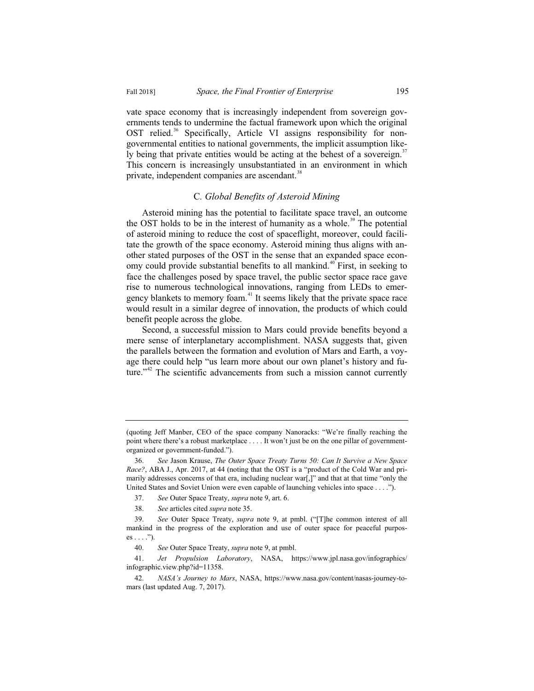vate space economy that is increasingly independent from sovereign governments tends to undermine the factual framework upon which the original OST relied.<sup>36</sup> Specifically, Article VI assigns responsibility for nongovernmental entities to national governments, the implicit assumption likely being that private entities would be acting at the behest of a sovereign.<sup>37</sup> This concern is increasingly unsubstantiated in an environment in which private, independent companies are ascendant.<sup>38</sup>

#### C*. Global Benefits of Asteroid Mining*

Asteroid mining has the potential to facilitate space travel, an outcome the OST holds to be in the interest of humanity as a whole.<sup>39</sup> The potential of asteroid mining to reduce the cost of spaceflight, moreover, could facilitate the growth of the space economy. Asteroid mining thus aligns with another stated purposes of the OST in the sense that an expanded space economy could provide substantial benefits to all mankind.<sup>40</sup> First, in seeking to face the challenges posed by space travel, the public sector space race gave rise to numerous technological innovations, ranging from LEDs to emergency blankets to memory foam.<sup>41</sup> It seems likely that the private space race would result in a similar degree of innovation, the products of which could benefit people across the globe.

Second, a successful mission to Mars could provide benefits beyond a mere sense of interplanetary accomplishment. NASA suggests that, given the parallels between the formation and evolution of Mars and Earth, a voyage there could help "us learn more about our own planet's history and future."<sup>42</sup> The scientific advancements from such a mission cannot currently

<sup>(</sup>quoting Jeff Manber, CEO of the space company Nanoracks: "We're finally reaching the point where there's a robust marketplace . . . . It won't just be on the one pillar of governmentorganized or government-funded.").

 <sup>36.</sup> *See* Jason Krause, *The Outer Space Treaty Turns 50: Can It Survive a New Space Race?*, ABA J., Apr. 2017, at 44 (noting that the OST is a "product of the Cold War and primarily addresses concerns of that era, including nuclear war[,]" and that at that time "only the United States and Soviet Union were even capable of launching vehicles into space . . . .").

 <sup>37.</sup> *See* Outer Space Treaty, *supra* note 9, art. 6.

 <sup>38.</sup> *See* articles cited *supra* note 35.

 <sup>39.</sup> *See* Outer Space Treaty, *supra* note 9, at pmbl. ("[T]he common interest of all mankind in the progress of the exploration and use of outer space for peaceful purpos $es \ldots$ ").

 <sup>40.</sup> *See* Outer Space Treaty, *supra* note 9, at pmbl.

 <sup>41.</sup> *Jet Propulsion Laboratory*, NASA, https://www.jpl.nasa.gov/infographics/ infographic.view.php?id=11358.

 <sup>42.</sup> *NASA's Journey to Mars*, NASA, https://www.nasa.gov/content/nasas-journey-tomars (last updated Aug. 7, 2017).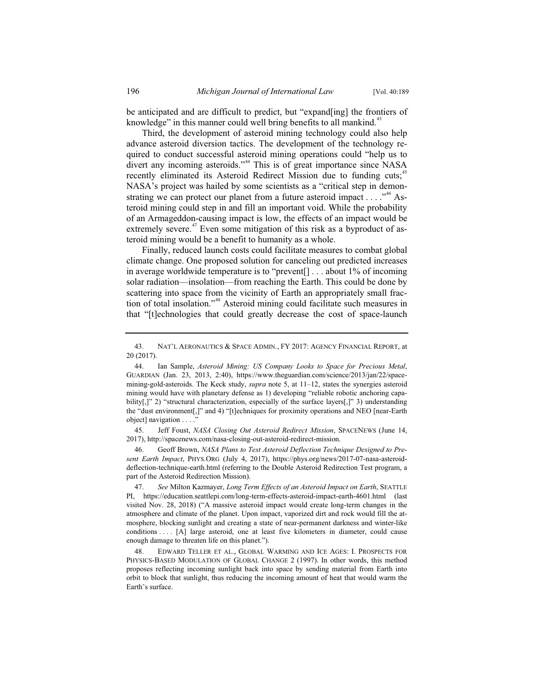be anticipated and are difficult to predict, but "expand[ing] the frontiers of knowledge" in this manner could well bring benefits to all mankind. $43$ 

Third, the development of asteroid mining technology could also help advance asteroid diversion tactics. The development of the technology required to conduct successful asteroid mining operations could "help us to divert any incoming asteroids."<sup>44</sup> This is of great importance since NASA recently eliminated its Asteroid Redirect Mission due to funding cuts;<sup>45</sup> NASA's project was hailed by some scientists as a "critical step in demonstrating we can protect our planet from a future asteroid impact  $\dots$ ."<sup>46</sup> Asteroid mining could step in and fill an important void. While the probability of an Armageddon-causing impact is low, the effects of an impact would be extremely severe.<sup>47</sup> Even some mitigation of this risk as a byproduct of asteroid mining would be a benefit to humanity as a whole.

Finally, reduced launch costs could facilitate measures to combat global climate change. One proposed solution for canceling out predicted increases in average worldwide temperature is to "prevent[] . . . about 1% of incoming solar radiation—insolation—from reaching the Earth. This could be done by scattering into space from the vicinity of Earth an appropriately small fraction of total insolation."48 Asteroid mining could facilitate such measures in that "[t]echnologies that could greatly decrease the cost of space-launch

 45. Jeff Foust, *NASA Closing Out Asteroid Redirect Mission*, SPACENEWS (June 14, 2017), http://spacenews.com/nasa-closing-out-asteroid-redirect-mission.

 46. Geoff Brown, *NASA Plans to Test Asteroid Deflection Technique Designed to Present Earth Impact*, PHYS.ORG (July 4, 2017), https://phys.org/news/2017-07-nasa-asteroiddeflection-technique-earth.html (referring to the Double Asteroid Redirection Test program, a part of the Asteroid Redirection Mission).

 47. *See* Milton Kazmayer, *Long Term Effects of an Asteroid Impact on Earth*, SEATTLE PI, https://education.seattlepi.com/long-term-effects-asteroid-impact-earth-4601.html (last visited Nov. 28, 2018) ("A massive asteroid impact would create long-term changes in the atmosphere and climate of the planet. Upon impact, vaporized dirt and rock would fill the atmosphere, blocking sunlight and creating a state of near-permanent darkness and winter-like conditions . . . . [A] large asteroid, one at least five kilometers in diameter, could cause enough damage to threaten life on this planet.").

 48. EDWARD TELLER ET AL., GLOBAL WARMING AND ICE AGES: I. PROSPECTS FOR PHYSICS-BASED MODULATION OF GLOBAL CHANGE 2 (1997). In other words, this method proposes reflecting incoming sunlight back into space by sending material from Earth into orbit to block that sunlight, thus reducing the incoming amount of heat that would warm the Earth's surface.

 <sup>43.</sup> NAT'L AERONAUTICS & SPACE ADMIN., FY 2017: AGENCY FINANCIAL REPORT, at 20 (2017).

 <sup>44.</sup> Ian Sample, *Asteroid Mining: US Company Looks to Space for Precious Metal*, GUARDIAN (Jan. 23, 2013, 2:40), https://www.theguardian.com/science/2013/jan/22/spacemining-gold-asteroids. The Keck study, *supra* note 5, at 11–12, states the synergies asteroid mining would have with planetary defense as 1) developing "reliable robotic anchoring capability[,]" 2) "structural characterization, especially of the surface layers[,]" 3) understanding the "dust environment[,]" and 4) "[t]echniques for proximity operations and NEO [near-Earth object] navigation . . . .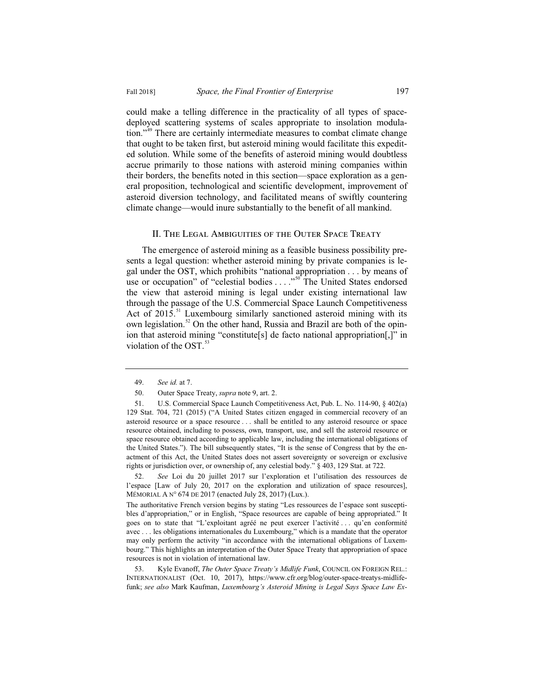could make a telling difference in the practicality of all types of spacedeployed scattering systems of scales appropriate to insolation modulation."<sup>49</sup> There are certainly intermediate measures to combat climate change that ought to be taken first, but asteroid mining would facilitate this expedited solution. While some of the benefits of asteroid mining would doubtless accrue primarily to those nations with asteroid mining companies within their borders, the benefits noted in this section—space exploration as a general proposition, technological and scientific development, improvement of asteroid diversion technology, and facilitated means of swiftly countering

#### II. The Legal Ambiguities of the Outer Space Treaty

climate change—would inure substantially to the benefit of all mankind.

The emergence of asteroid mining as a feasible business possibility presents a legal question: whether asteroid mining by private companies is legal under the OST, which prohibits "national appropriation . . . by means of use or occupation" of "celestial bodies . . . . "<sup>50</sup> The United States endorsed the view that asteroid mining is legal under existing international law through the passage of the U.S. Commercial Space Launch Competitiveness Act of 2015.<sup>51</sup> Luxembourg similarly sanctioned asteroid mining with its own legislation.<sup>52</sup> On the other hand, Russia and Brazil are both of the opinion that asteroid mining "constitute[s] de facto national appropriation[,]" in violation of the  $OST$ .<sup>53</sup>

 <sup>49.</sup> *See id.* at 7.

 <sup>50.</sup> Outer Space Treaty, *supra* note 9, art. 2.

 <sup>51.</sup> U.S. Commercial Space Launch Competitiveness Act, Pub. L. No. 114-90, § 402(a) 129 Stat. 704, 721 (2015) ("A United States citizen engaged in commercial recovery of an asteroid resource or a space resource . . . shall be entitled to any asteroid resource or space resource obtained, including to possess, own, transport, use, and sell the asteroid resource or space resource obtained according to applicable law, including the international obligations of the United States."). The bill subsequently states, "It is the sense of Congress that by the enactment of this Act, the United States does not assert sovereignty or sovereign or exclusive rights or jurisdiction over, or ownership of, any celestial body." § 403, 129 Stat. at 722.

 <sup>52.</sup> *See* Loi du 20 juillet 2017 sur l'exploration et l'utilisation des ressources de l'espace [Law of July 20, 2017 on the exploration and utilization of space resources], MÉMORIAL A N° 674 DE 2017 (enacted July 28, 2017) (Lux.).

The authoritative French version begins by stating "Les ressources de l'espace sont susceptibles d'appropriation," or in English, "Space resources are capable of being appropriated." It goes on to state that "L'exploitant agréé ne peut exercer l'activité . . . qu'en conformité avec . . . les obligations internationales du Luxembourg," which is a mandate that the operator may only perform the activity "in accordance with the international obligations of Luxembourg." This highlights an interpretation of the Outer Space Treaty that appropriation of space resources is not in violation of international law.

 <sup>53.</sup> Kyle Evanoff, *The Outer Space Treaty's Midlife Funk*, COUNCIL ON FOREIGN REL.: INTERNATIONALIST (Oct. 10, 2017), https://www.cfr.org/blog/outer-space-treatys-midlifefunk; *see also* Mark Kaufman, *Luxembourg's Asteroid Mining is Legal Says Space Law Ex-*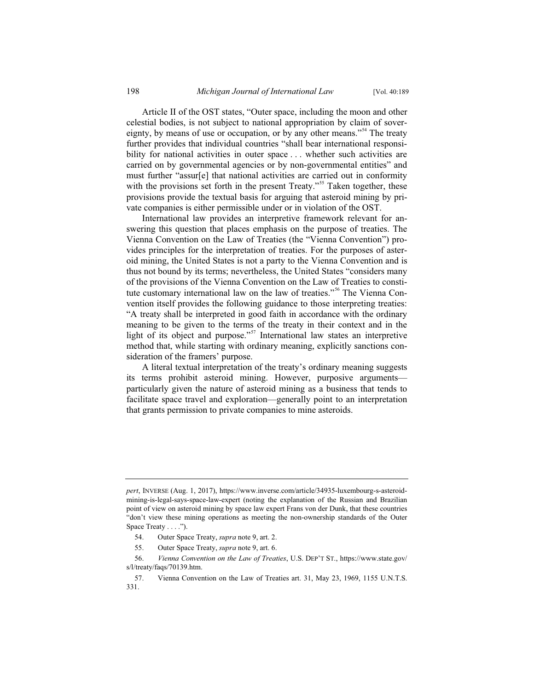Article II of the OST states, "Outer space, including the moon and other celestial bodies, is not subject to national appropriation by claim of sovereignty, by means of use or occupation, or by any other means."<sup>54</sup> The treaty further provides that individual countries "shall bear international responsibility for national activities in outer space ... whether such activities are carried on by governmental agencies or by non-governmental entities" and must further "assur[e] that national activities are carried out in conformity with the provisions set forth in the present Treaty."<sup>55</sup> Taken together, these provisions provide the textual basis for arguing that asteroid mining by private companies is either permissible under or in violation of the OST.

International law provides an interpretive framework relevant for answering this question that places emphasis on the purpose of treaties. The Vienna Convention on the Law of Treaties (the "Vienna Convention") provides principles for the interpretation of treaties. For the purposes of asteroid mining, the United States is not a party to the Vienna Convention and is thus not bound by its terms; nevertheless, the United States "considers many of the provisions of the Vienna Convention on the Law of Treaties to constitute customary international law on the law of treaties."<sup>56</sup> The Vienna Convention itself provides the following guidance to those interpreting treaties: "A treaty shall be interpreted in good faith in accordance with the ordinary meaning to be given to the terms of the treaty in their context and in the light of its object and purpose."<sup>57</sup> International law states an interpretive method that, while starting with ordinary meaning, explicitly sanctions consideration of the framers' purpose.

A literal textual interpretation of the treaty's ordinary meaning suggests its terms prohibit asteroid mining. However, purposive arguments particularly given the nature of asteroid mining as a business that tends to facilitate space travel and exploration—generally point to an interpretation that grants permission to private companies to mine asteroids.

*pert*, INVERSE (Aug. 1, 2017), https://www.inverse.com/article/34935-luxembourg-s-asteroidmining-is-legal-says-space-law-expert (noting the explanation of the Russian and Brazilian point of view on asteroid mining by space law expert Frans von der Dunk, that these countries "don't view these mining operations as meeting the non-ownership standards of the Outer Space Treaty . . . .").

 <sup>54.</sup> Outer Space Treaty, *supra* note 9, art. 2.

 <sup>55.</sup> Outer Space Treaty, *supra* note 9, art. 6.

 <sup>56.</sup> *Vienna Convention on the Law of Treaties*, U.S. DEP'T ST., https://www.state.gov/ s/l/treaty/faqs/70139.htm.

 <sup>57.</sup> Vienna Convention on the Law of Treaties art. 31, May 23, 1969, 1155 U.N.T.S. 331.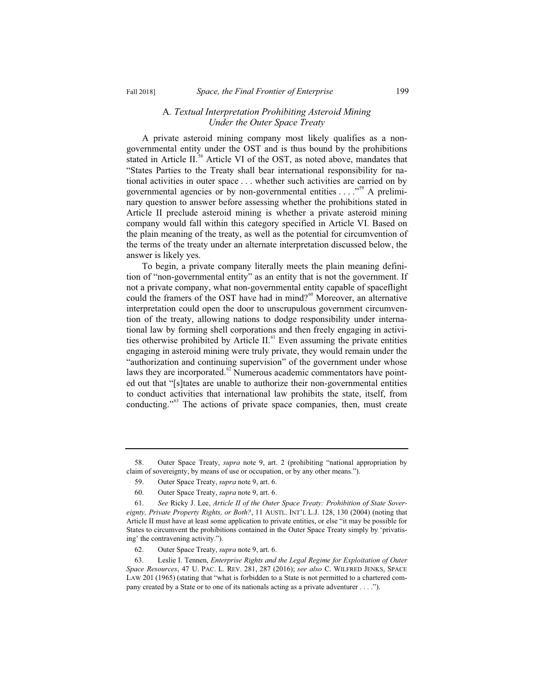#### A*. Textual Interpretation Prohibiting Asteroid Mining Under the Outer Space Treaty*

A private asteroid mining company most likely qualifies as a nongovernmental entity under the OST and is thus bound by the prohibitions stated in Article II.<sup>58</sup> Article VI of the OST, as noted above, mandates that "States Parties to the Treaty shall bear international responsibility for national activities in outer space . . . whether such activities are carried on by governmental agencies or by non-governmental entities . . . . "<sup>59</sup> A preliminary question to answer before assessing whether the prohibitions stated in Article II preclude asteroid mining is whether a private asteroid mining company would fall within this category specified in Article VI. Based on the plain meaning of the treaty, as well as the potential for circumvention of the terms of the treaty under an alternate interpretation discussed below, the answer is likely yes.

To begin, a private company literally meets the plain meaning definition of "non-governmental entity" as an entity that is not the government. If not a private company, what non-governmental entity capable of spaceflight could the framers of the OST have had in mind? $60$  Moreover, an alternative interpretation could open the door to unscrupulous government circumvention of the treaty, allowing nations to dodge responsibility under international law by forming shell corporations and then freely engaging in activities otherwise prohibited by Article II.<sup>61</sup> Even assuming the private entities engaging in asteroid mining were truly private, they would remain under the "authorization and continuing supervision" of the government under whose laws they are incorporated. $62$  Numerous academic commentators have pointed out that "[s]tates are unable to authorize their non-governmental entities to conduct activities that international law prohibits the state, itself, from conducting."63 The actions of private space companies, then, must create

 <sup>58.</sup> Outer Space Treaty, *supra* note 9, art. 2 (prohibiting "national appropriation by claim of sovereignty, by means of use or occupation, or by any other means.").

 <sup>59.</sup> Outer Space Treaty, *supra* note 9, art. 6.

 <sup>60.</sup> Outer Space Treaty, *supra* note 9, art. 6.

 <sup>61.</sup> *See* Ricky J. Lee, *Article II of the Outer Space Treaty: Prohibition of State Sovereignty, Private Property Rights, or Both?*, 11 AUSTL. INT'L L.J. 128, 130 (2004) (noting that Article II must have at least some application to private entities, or else "it may be possible for States to circumvent the prohibitions contained in the Outer Space Treaty simply by 'privatising' the contravening activity.").

 <sup>62.</sup> Outer Space Treaty, *supra* note 9, art. 6.

 <sup>63.</sup> Leslie I. Tennen, *Enterprise Rights and the Legal Regime for Exploitation of Outer Space Resources*, 47 U. PAC. L. REV. 281, 287 (2016); *see also* C. WILFRED JENKS, SPACE LAW 201 (1965) (stating that "what is forbidden to a State is not permitted to a chartered company created by a State or to one of its nationals acting as a private adventurer . . . .").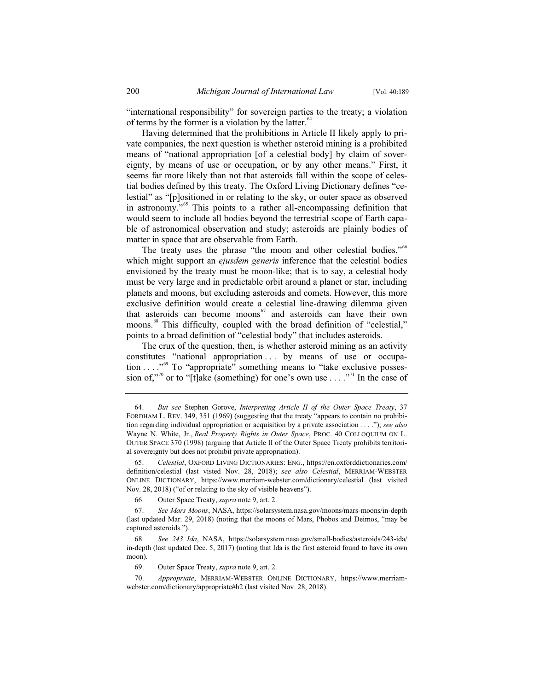"international responsibility" for sovereign parties to the treaty; a violation of terms by the former is a violation by the latter. $64$ 

Having determined that the prohibitions in Article II likely apply to private companies, the next question is whether asteroid mining is a prohibited means of "national appropriation [of a celestial body] by claim of sovereignty, by means of use or occupation, or by any other means." First, it seems far more likely than not that asteroids fall within the scope of celestial bodies defined by this treaty. The Oxford Living Dictionary defines "celestial" as "[p]ositioned in or relating to the sky, or outer space as observed in astronomy."<sup>65</sup> This points to a rather all-encompassing definition that would seem to include all bodies beyond the terrestrial scope of Earth capable of astronomical observation and study; asteroids are plainly bodies of matter in space that are observable from Earth.

The treaty uses the phrase "the moon and other celestial bodies."<sup>66</sup> which might support an *ejusdem generis* inference that the celestial bodies envisioned by the treaty must be moon-like; that is to say, a celestial body must be very large and in predictable orbit around a planet or star, including planets and moons, but excluding asteroids and comets. However, this more exclusive definition would create a celestial line-drawing dilemma given that asteroids can become moons $\epsilon$ <sup>67</sup> and asteroids can have their own moons.<sup>68</sup> This difficulty, coupled with the broad definition of "celestial," points to a broad definition of "celestial body" that includes asteroids.

The crux of the question, then, is whether asteroid mining as an activity constitutes "national appropriation ... by means of use or occupation . . . . "<sup>69</sup> To "appropriate" something means to "take exclusive possession of,"<sup>70</sup> or to "[t]ake (something) for one's own use  $\dots$ ."<sup>71</sup> In the case of

 65. *Celestial*, OXFORD LIVING DICTIONARIES: ENG., https://en.oxforddictionaries.com/ definition/celestial (last visted Nov. 28, 2018); *see also Celestial*, MERRIAM-WEBSTER ONLINE DICTIONARY, https://www.merriam-webster.com/dictionary/celestial (last visited Nov. 28, 2018) ("of or relating to the sky of visible heavens").

66. Outer Space Treaty, *supra* note 9, art. 2.

 68. *See 243 Ida*, NASA, https://solarsystem.nasa.gov/small-bodies/asteroids/243-ida/ in-depth (last updated Dec. 5, 2017) (noting that Ida is the first asteroid found to have its own moon).

69. Outer Space Treaty, *supra* note 9, art. 2.

 <sup>64.</sup> *But see* Stephen Gorove, *Interpreting Article II of the Outer Space Treaty*, 37 FORDHAM L. REV. 349, 351 (1969) (suggesting that the treaty "appears to contain no prohibition regarding individual appropriation or acquisition by a private association . . . ."); *see also* Wayne N. White, Jr., *Real Property Rights in Outer Space*, PROC. 40 COLLOQUIUM ON L. OUTER SPACE 370 (1998) (arguing that Article II of the Outer Space Treaty prohibits territorial sovereignty but does not prohibit private appropriation).

 <sup>67.</sup> *See Mars Moons*, NASA, https://solarsystem.nasa.gov/moons/mars-moons/in-depth (last updated Mar. 29, 2018) (noting that the moons of Mars, Phobos and Deimos, "may be captured asteroids.").

 <sup>70.</sup> *Appropriate*, MERRIAM-WEBSTER ONLINE DICTIONARY, https://www.merriamwebster.com/dictionary/appropriate#h2 (last visited Nov. 28, 2018).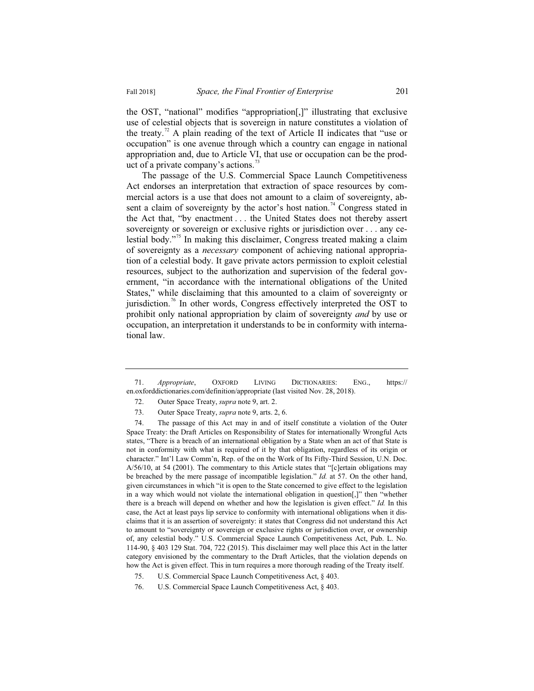the OST, "national" modifies "appropriation[,]" illustrating that exclusive use of celestial objects that is sovereign in nature constitutes a violation of the treaty.<sup>72</sup> A plain reading of the text of Article II indicates that "use or occupation" is one avenue through which a country can engage in national appropriation and, due to Article VI, that use or occupation can be the product of a private company's actions.<sup>73</sup>

The passage of the U.S. Commercial Space Launch Competitiveness Act endorses an interpretation that extraction of space resources by commercial actors is a use that does not amount to a claim of sovereignty, absent a claim of sovereignty by the actor's host nation.<sup>74</sup> Congress stated in the Act that, "by enactment . . . the United States does not thereby assert sovereignty or sovereign or exclusive rights or jurisdiction over . . . any celestial body."<sup>75</sup> In making this disclaimer, Congress treated making a claim of sovereignty as a *necessary* component of achieving national appropriation of a celestial body. It gave private actors permission to exploit celestial resources, subject to the authorization and supervision of the federal government, "in accordance with the international obligations of the United States," while disclaiming that this amounted to a claim of sovereignty or jurisdiction.<sup>76</sup> In other words, Congress effectively interpreted the OST to prohibit only national appropriation by claim of sovereignty *and* by use or occupation, an interpretation it understands to be in conformity with international law.

 <sup>71.</sup> *Appropriate*, OXFORD LIVING DICTIONARIES: ENG., https:// en.oxforddictionaries.com/definition/appropriate (last visited Nov. 28, 2018).

 <sup>72.</sup> Outer Space Treaty, *supra* note 9, art. 2.

 <sup>73.</sup> Outer Space Treaty, *supra* note 9, arts. 2, 6.

 <sup>74.</sup> The passage of this Act may in and of itself constitute a violation of the Outer Space Treaty: the Draft Articles on Responsibility of States for internationally Wrongful Acts states, "There is a breach of an international obligation by a State when an act of that State is not in conformity with what is required of it by that obligation, regardless of its origin or character." Int'l Law Comm'n, Rep. of the on the Work of Its Fifty-Third Session, U.N. Doc. A/56/10, at 54 (2001). The commentary to this Article states that "[c]ertain obligations may be breached by the mere passage of incompatible legislation." *Id.* at 57. On the other hand, given circumstances in which "it is open to the State concerned to give effect to the legislation in a way which would not violate the international obligation in question[,]" then "whether there is a breach will depend on whether and how the legislation is given effect." *Id.* In this case, the Act at least pays lip service to conformity with international obligations when it disclaims that it is an assertion of sovereignty: it states that Congress did not understand this Act to amount to "sovereignty or sovereign or exclusive rights or jurisdiction over, or ownership of, any celestial body." U.S. Commercial Space Launch Competitiveness Act, Pub. L. No. 114-90, § 403 129 Stat. 704, 722 (2015). This disclaimer may well place this Act in the latter category envisioned by the commentary to the Draft Articles, that the violation depends on how the Act is given effect. This in turn requires a more thorough reading of the Treaty itself.

 <sup>75.</sup> U.S. Commercial Space Launch Competitiveness Act, § 403.

 <sup>76.</sup> U.S. Commercial Space Launch Competitiveness Act, § 403.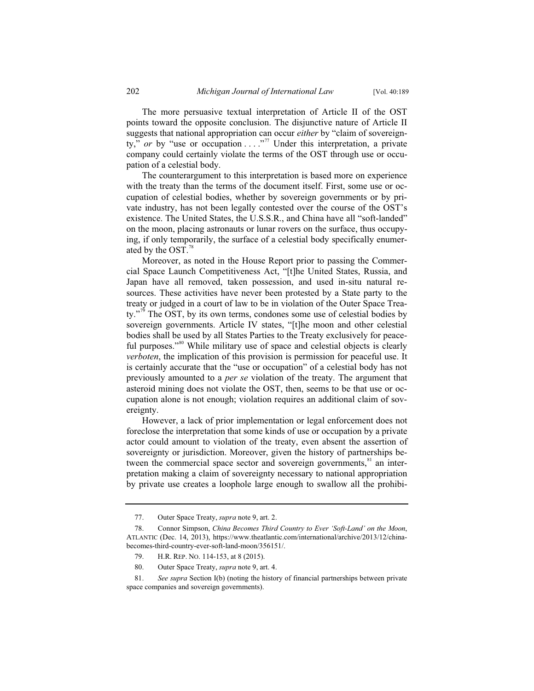The more persuasive textual interpretation of Article II of the OST points toward the opposite conclusion. The disjunctive nature of Article II suggests that national appropriation can occur *either* by "claim of sovereignty," *or* by "use or occupation . . . .<sup>,77</sup> Under this interpretation, a private company could certainly violate the terms of the OST through use or occupation of a celestial body.

The counterargument to this interpretation is based more on experience with the treaty than the terms of the document itself. First, some use or occupation of celestial bodies, whether by sovereign governments or by private industry, has not been legally contested over the course of the OST's existence. The United States, the U.S.S.R., and China have all "soft-landed" on the moon, placing astronauts or lunar rovers on the surface, thus occupying, if only temporarily, the surface of a celestial body specifically enumerated by the  $OST.<sup>78</sup>$ 

Moreover, as noted in the House Report prior to passing the Commercial Space Launch Competitiveness Act, "[t]he United States, Russia, and Japan have all removed, taken possession, and used in-situ natural resources. These activities have never been protested by a State party to the treaty or judged in a court of law to be in violation of the Outer Space Treaty."<sup>9</sup> The OST, by its own terms, condones some use of celestial bodies by sovereign governments. Article IV states, "[t]he moon and other celestial bodies shall be used by all States Parties to the Treaty exclusively for peaceful purposes."<sup>80</sup> While military use of space and celestial objects is clearly *verboten*, the implication of this provision is permission for peaceful use. It is certainly accurate that the "use or occupation" of a celestial body has not previously amounted to a *per se* violation of the treaty. The argument that asteroid mining does not violate the OST, then, seems to be that use or occupation alone is not enough; violation requires an additional claim of sovereignty.

However, a lack of prior implementation or legal enforcement does not foreclose the interpretation that some kinds of use or occupation by a private actor could amount to violation of the treaty, even absent the assertion of sovereignty or jurisdiction. Moreover, given the history of partnerships between the commercial space sector and sovereign governments, <sup>81</sup> an interpretation making a claim of sovereignty necessary to national appropriation by private use creates a loophole large enough to swallow all the prohibi-

 <sup>77.</sup> Outer Space Treaty, *supra* note 9, art. 2.

 <sup>78.</sup> Connor Simpson, *China Becomes Third Country to Ever 'Soft-Land' on the Moon*, ATLANTIC (Dec. 14, 2013), https://www.theatlantic.com/international/archive/2013/12/chinabecomes-third-country-ever-soft-land-moon/356151/.

 <sup>79.</sup> H.R. REP. NO. 114-153, at 8 (2015).

 <sup>80.</sup> Outer Space Treaty, *supra* note 9, art. 4.

 <sup>81.</sup> *See supra* Section I(b) (noting the history of financial partnerships between private space companies and sovereign governments).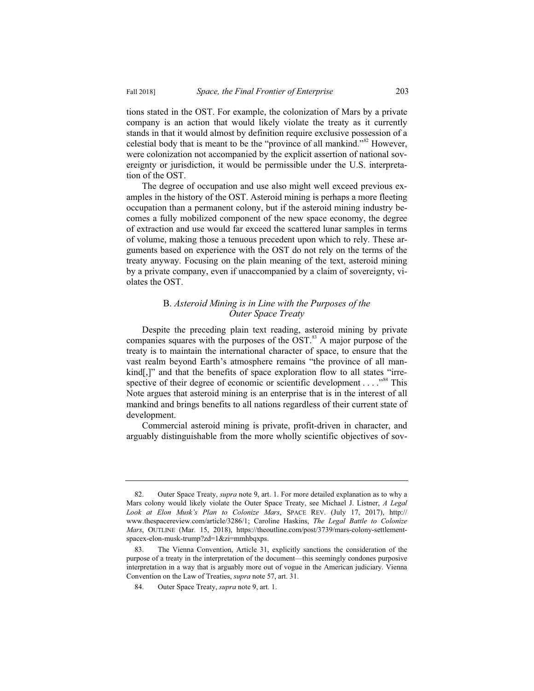tions stated in the OST. For example, the colonization of Mars by a private company is an action that would likely violate the treaty as it currently stands in that it would almost by definition require exclusive possession of a celestial body that is meant to be the "province of all mankind."<sup>82</sup> However, were colonization not accompanied by the explicit assertion of national sovereignty or jurisdiction, it would be permissible under the U.S. interpretation of the OST.

The degree of occupation and use also might well exceed previous examples in the history of the OST. Asteroid mining is perhaps a more fleeting occupation than a permanent colony, but if the asteroid mining industry becomes a fully mobilized component of the new space economy, the degree of extraction and use would far exceed the scattered lunar samples in terms of volume, making those a tenuous precedent upon which to rely. These arguments based on experience with the OST do not rely on the terms of the treaty anyway. Focusing on the plain meaning of the text, asteroid mining by a private company, even if unaccompanied by a claim of sovereignty, violates the OST.

## B. *Asteroid Mining is in Line with the Purposes of the Outer Space Treaty*

Despite the preceding plain text reading, asteroid mining by private companies squares with the purposes of the  $\overline{OST}$ .<sup>83</sup> A major purpose of the treaty is to maintain the international character of space, to ensure that the vast realm beyond Earth's atmosphere remains "the province of all mankind[,]" and that the benefits of space exploration flow to all states "irrespective of their degree of economic or scientific development  $\dots$ <sup>84</sup>. This Note argues that asteroid mining is an enterprise that is in the interest of all mankind and brings benefits to all nations regardless of their current state of development.

Commercial asteroid mining is private, profit-driven in character, and arguably distinguishable from the more wholly scientific objectives of sov-

 <sup>82.</sup> Outer Space Treaty, *supra* note 9, art. 1. For more detailed explanation as to why a Mars colony would likely violate the Outer Space Treaty, see Michael J. Listner, *A Legal Look at Elon Musk's Plan to Colonize Mars*, SPACE REV. (July 17, 2017), http:// www.thespacereview.com/article/3286/1; Caroline Haskins, *The Legal Battle to Colonize Mars*, OUTLINE (Mar. 15, 2018), https://theoutline.com/post/3739/mars-colony-settlementspacex-elon-musk-trump?zd=1&zi=mmhbqxps.

 <sup>83.</sup> The Vienna Convention, Article 31, explicitly sanctions the consideration of the purpose of a treaty in the interpretation of the document—this seemingly condones purposive interpretation in a way that is arguably more out of vogue in the American judiciary. Vienna Convention on the Law of Treaties, *supra* note 57, art. 31.

 <sup>84.</sup> Outer Space Treaty, *supra* note 9, art. 1.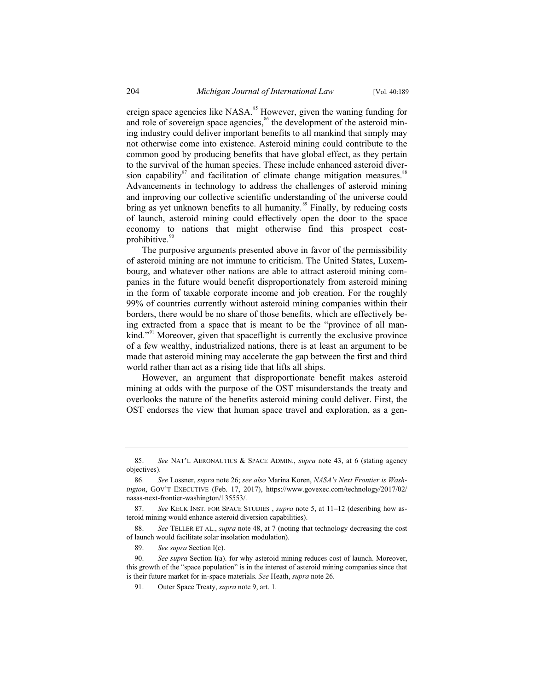ereign space agencies like NASA.<sup>85</sup> However, given the waning funding for and role of sovereign space agencies,<sup>86</sup> the development of the asteroid mining industry could deliver important benefits to all mankind that simply may not otherwise come into existence. Asteroid mining could contribute to the common good by producing benefits that have global effect, as they pertain to the survival of the human species. These include enhanced asteroid diversion capability $87$  and facilitation of climate change mitigation measures. $88$ Advancements in technology to address the challenges of asteroid mining and improving our collective scientific understanding of the universe could bring as yet unknown benefits to all humanity.<sup>89</sup> Finally, by reducing costs of launch, asteroid mining could effectively open the door to the space economy to nations that might otherwise find this prospect costprohibitive.<sup>9</sup>

The purposive arguments presented above in favor of the permissibility of asteroid mining are not immune to criticism. The United States, Luxembourg, and whatever other nations are able to attract asteroid mining companies in the future would benefit disproportionately from asteroid mining in the form of taxable corporate income and job creation. For the roughly 99% of countries currently without asteroid mining companies within their borders, there would be no share of those benefits, which are effectively being extracted from a space that is meant to be the "province of all mankind."<sup>91</sup> Moreover, given that spaceflight is currently the exclusive province of a few wealthy, industrialized nations, there is at least an argument to be made that asteroid mining may accelerate the gap between the first and third world rather than act as a rising tide that lifts all ships.

However, an argument that disproportionate benefit makes asteroid mining at odds with the purpose of the OST misunderstands the treaty and overlooks the nature of the benefits asteroid mining could deliver. First, the OST endorses the view that human space travel and exploration, as a gen-

 <sup>85.</sup> *See* NAT'L AERONAUTICS & SPACE ADMIN., *supra* note 43, at 6 (stating agency objectives).

 <sup>86.</sup> *See* Lossner, *supra* note 26; *see also* Marina Koren, *NASA's Next Frontier is Washington*, GOV'T EXECUTIVE (Feb. 17, 2017), https://www.govexec.com/technology/2017/02/ nasas-next-frontier-washington/135553/.

 <sup>87.</sup> *See* KECK INST. FOR SPACE STUDIES , *supra* note 5, at 11–12 (describing how asteroid mining would enhance asteroid diversion capabilities).

 <sup>88.</sup> *See* TELLER ET AL., *supra* note 48, at 7 (noting that technology decreasing the cost of launch would facilitate solar insolation modulation).

 <sup>89.</sup> *See supra* Section I(c).

 <sup>90.</sup> *See supra* Section I(a). for why asteroid mining reduces cost of launch. Moreover, this growth of the "space population" is in the interest of asteroid mining companies since that is their future market for in-space materials. *See* Heath, *supra* note 26.

 <sup>91.</sup> Outer Space Treaty, *supra* note 9, art. 1*.*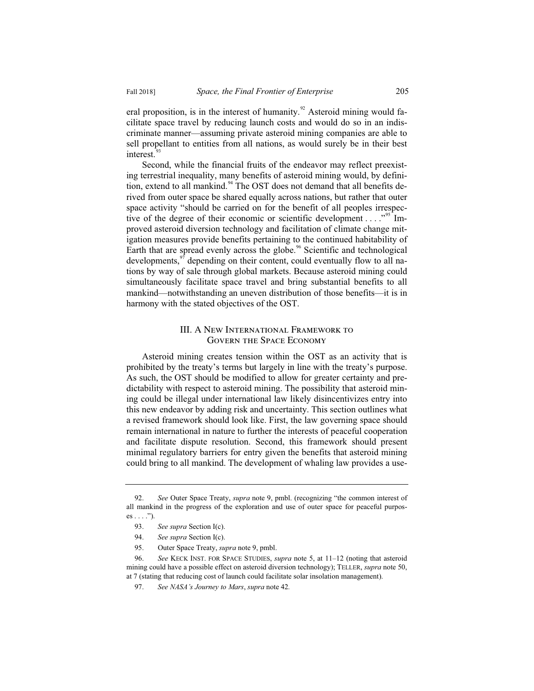eral proposition, is in the interest of humanity.<sup>92</sup> Asteroid mining would facilitate space travel by reducing launch costs and would do so in an indiscriminate manner—assuming private asteroid mining companies are able to sell propellant to entities from all nations, as would surely be in their best interest.<sup>9</sup>

Second, while the financial fruits of the endeavor may reflect preexisting terrestrial inequality, many benefits of asteroid mining would, by definition, extend to all mankind. $94$  The OST does not demand that all benefits derived from outer space be shared equally across nations, but rather that outer space activity "should be carried on for the benefit of all peoples irrespective of the degree of their economic or scientific development . . . .  $\cdot$ <sup>95</sup> Improved asteroid diversion technology and facilitation of climate change mitigation measures provide benefits pertaining to the continued habitability of Earth that are spread evenly across the globe.<sup>96</sup> Scientific and technological developments,<sup>97</sup> depending on their content, could eventually flow to all nations by way of sale through global markets. Because asteroid mining could simultaneously facilitate space travel and bring substantial benefits to all mankind—notwithstanding an uneven distribution of those benefits—it is in harmony with the stated objectives of the OST.

## III. A New International Framework to Govern the Space Economy

Asteroid mining creates tension within the OST as an activity that is prohibited by the treaty's terms but largely in line with the treaty's purpose. As such, the OST should be modified to allow for greater certainty and predictability with respect to asteroid mining. The possibility that asteroid mining could be illegal under international law likely disincentivizes entry into this new endeavor by adding risk and uncertainty. This section outlines what a revised framework should look like. First, the law governing space should remain international in nature to further the interests of peaceful cooperation and facilitate dispute resolution. Second, this framework should present minimal regulatory barriers for entry given the benefits that asteroid mining could bring to all mankind. The development of whaling law provides a use-

 <sup>92.</sup> *See* Outer Space Treaty, *supra* note 9, pmbl. (recognizing "the common interest of all mankind in the progress of the exploration and use of outer space for peaceful purpos $es \ldots$ ").

 <sup>93.</sup> *See supra* Section I(c).

 <sup>94.</sup> *See supra* Section I(c).

 <sup>95.</sup> Outer Space Treaty, *supra* note 9, pmbl.

 <sup>96.</sup> *See* KECK INST. FOR SPACE STUDIES, *supra* note 5, at 11–12 (noting that asteroid mining could have a possible effect on asteroid diversion technology); TELLER, *supra* note 50, at 7 (stating that reducing cost of launch could facilitate solar insolation management).

 <sup>97.</sup> *See NASA's Journey to Mars*, *supra* note 42*.*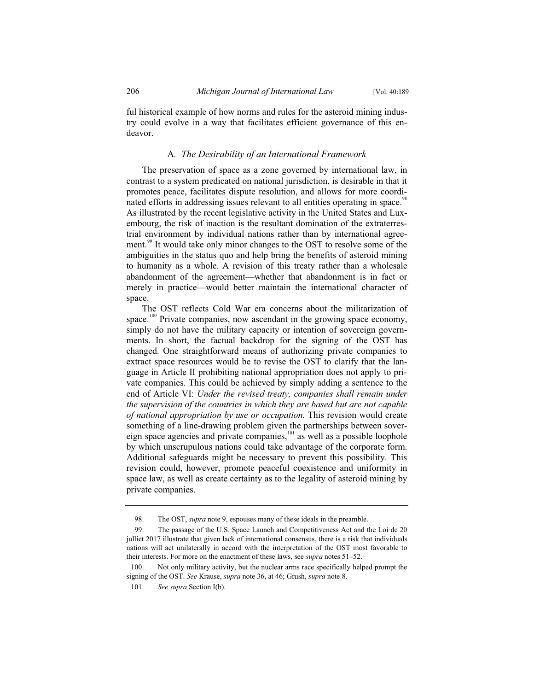ful historical example of how norms and rules for the asteroid mining industry could evolve in a way that facilitates efficient governance of this endeavor.

### A*. The Desirability of an International Framework*

The preservation of space as a zone governed by international law, in contrast to a system predicated on national jurisdiction, is desirable in that it promotes peace, facilitates dispute resolution, and allows for more coordinated efforts in addressing issues relevant to all entities operating in space.<sup>98</sup> As illustrated by the recent legislative activity in the United States and Luxembourg, the risk of inaction is the resultant domination of the extraterrestrial environment by individual nations rather than by international agreement.<sup>99</sup> It would take only minor changes to the OST to resolve some of the ambiguities in the status quo and help bring the benefits of asteroid mining to humanity as a whole. A revision of this treaty rather than a wholesale abandonment of the agreement—whether that abandonment is in fact or merely in practice—would better maintain the international character of space.

The OST reflects Cold War era concerns about the militarization of space.<sup>100</sup> Private companies, now ascendant in the growing space economy, simply do not have the military capacity or intention of sovereign governments. In short, the factual backdrop for the signing of the OST has changed. One straightforward means of authorizing private companies to extract space resources would be to revise the OST to clarify that the language in Article II prohibiting national appropriation does not apply to private companies. This could be achieved by simply adding a sentence to the end of Article VI: *Under the revised treaty, companies shall remain under the supervision of the countries in which they are based but are not capable of national appropriation by use or occupation.* This revision would create something of a line-drawing problem given the partnerships between sovereign space agencies and private companies, $101$  as well as a possible loophole by which unscrupulous nations could take advantage of the corporate form. Additional safeguards might be necessary to prevent this possibility. This revision could, however, promote peaceful coexistence and uniformity in space law, as well as create certainty as to the legality of asteroid mining by private companies.

<sup>98.</sup> The OST, *supra* note 9, espouses many of these ideals in the preamble.

<sup>99.</sup> The passage of the U.S. Space Launch and Competitiveness Act and the Loi de 20 julliet 2017 illustrate that given lack of international consensus, there is a risk that individuals nations will act unilaterally in accord with the interpretation of the OST most favorable to their interests. For more on the enactment of these laws, see *supra* notes 51–52.

<sup>100.</sup> Not only military activity, but the nuclear arms race specifically helped prompt the signing of the OST. *See* Krause, *supra* note 36, at 46; Grush, *supra* note 8.

<sup>101.</sup> *See supra* Section I(b).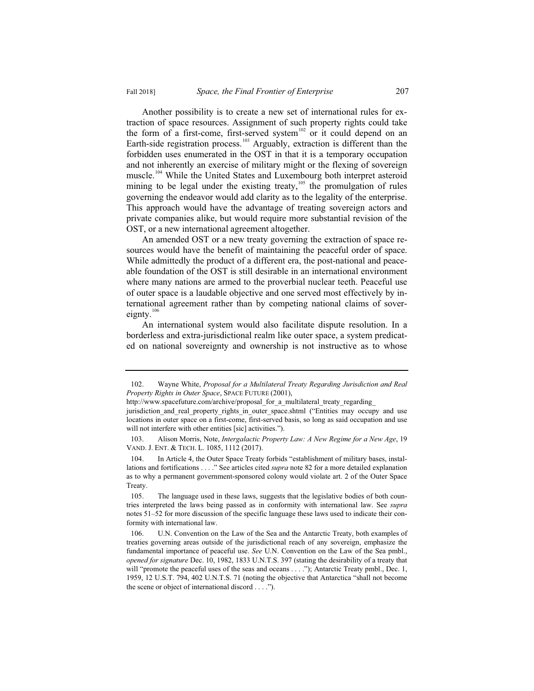Another possibility is to create a new set of international rules for extraction of space resources. Assignment of such property rights could take the form of a first-come, first-served system<sup>102</sup> or it could depend on an Earth-side registration process.<sup>103</sup> Arguably, extraction is different than the forbidden uses enumerated in the OST in that it is a temporary occupation and not inherently an exercise of military might or the flexing of sovereign muscle.<sup>104</sup> While the United States and Luxembourg both interpret asteroid mining to be legal under the existing treaty, $105$  the promulgation of rules governing the endeavor would add clarity as to the legality of the enterprise. This approach would have the advantage of treating sovereign actors and private companies alike, but would require more substantial revision of the OST, or a new international agreement altogether.

An amended OST or a new treaty governing the extraction of space resources would have the benefit of maintaining the peaceful order of space. While admittedly the product of a different era, the post-national and peaceable foundation of the OST is still desirable in an international environment where many nations are armed to the proverbial nuclear teeth. Peaceful use of outer space is a laudable objective and one served most effectively by international agreement rather than by competing national claims of sovereignty. $^{106}$ 

An international system would also facilitate dispute resolution. In a borderless and extra-jurisdictional realm like outer space, a system predicated on national sovereignty and ownership is not instructive as to whose

 <sup>102.</sup> Wayne White, *Proposal for a Multilateral Treaty Regarding Jurisdiction and Real Property Rights in Outer Space*, SPACE FUTURE (2001),

http://www.spacefuture.com/archive/proposal\_for\_a\_multilateral\_treaty\_regarding

jurisdiction\_and\_real\_property\_rights\_in\_outer\_space.shtml ("Entities may occupy and use locations in outer space on a first-come, first-served basis, so long as said occupation and use will not interfere with other entities [sic] activities.").

 <sup>103.</sup> Alison Morris, Note, *Intergalactic Property Law: A New Regime for a New Age*, 19 VAND. J. ENT. & TECH. L. 1085, 1112 (2017).

 <sup>104.</sup> In Article 4, the Outer Space Treaty forbids "establishment of military bases, installations and fortifications . . . ." See articles cited *supra* note 82 for a more detailed explanation as to why a permanent government-sponsored colony would violate art. 2 of the Outer Space Treaty.

 <sup>105.</sup> The language used in these laws, suggests that the legislative bodies of both countries interpreted the laws being passed as in conformity with international law. See *supra*  notes 51–52 for more discussion of the specific language these laws used to indicate their conformity with international law.

 <sup>106.</sup> U.N. Convention on the Law of the Sea and the Antarctic Treaty, both examples of treaties governing areas outside of the jurisdictional reach of any sovereign, emphasize the fundamental importance of peaceful use. *See* U.N. Convention on the Law of the Sea pmbl., *opened for signature* Dec. 10, 1982, 1833 U.N.T.S. 397 (stating the desirability of a treaty that will "promote the peaceful uses of the seas and oceans . . . ."); Antarctic Treaty pmbl., Dec. 1, 1959, 12 U.S.T. 794, 402 U.N.T.S. 71 (noting the objective that Antarctica "shall not become the scene or object of international discord . . . .").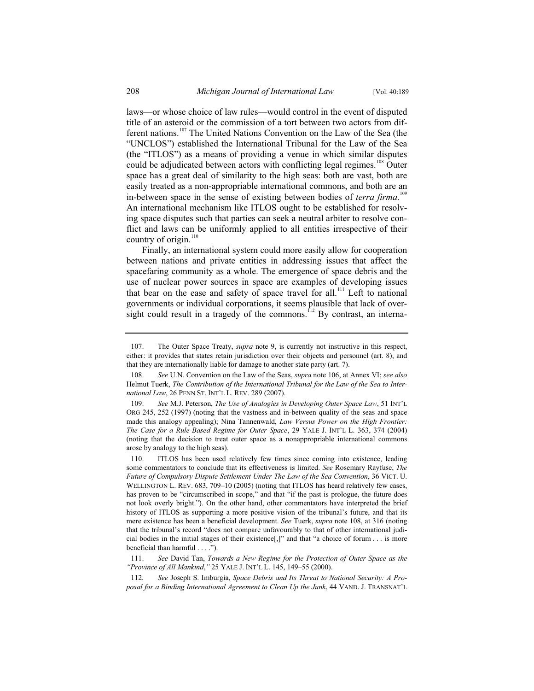laws—or whose choice of law rules—would control in the event of disputed title of an asteroid or the commission of a tort between two actors from different nations.<sup>107</sup> The United Nations Convention on the Law of the Sea (the "UNCLOS") established the International Tribunal for the Law of the Sea (the "ITLOS") as a means of providing a venue in which similar disputes could be adjudicated between actors with conflicting legal regimes.<sup>108</sup> Outer space has a great deal of similarity to the high seas: both are vast, both are easily treated as a non-appropriable international commons, and both are an in-between space in the sense of existing between bodies of *terra firma*.<sup>109</sup> An international mechanism like ITLOS ought to be established for resolving space disputes such that parties can seek a neutral arbiter to resolve conflict and laws can be uniformly applied to all entities irrespective of their country of origin. $110$ 

Finally, an international system could more easily allow for cooperation between nations and private entities in addressing issues that affect the spacefaring community as a whole. The emergence of space debris and the use of nuclear power sources in space are examples of developing issues that bear on the ease and safety of space travel for all.<sup>111</sup> Left to national governments or individual corporations, it seems plausible that lack of oversight could result in a tragedy of the commons.<sup>112</sup> By contrast, an interna-

 <sup>107.</sup> The Outer Space Treaty, *supra* note 9, is currently not instructive in this respect, either: it provides that states retain jurisdiction over their objects and personnel (art. 8), and that they are internationally liable for damage to another state party (art. 7).

 <sup>108.</sup> *See* U.N. Convention on the Law of the Seas, *supra* note 106, at Annex VI; *see also*  Helmut Tuerk, *The Contribution of the International Tribunal for the Law of the Sea to International Law*, 26 PENN ST. INT'L L. REV. 289 (2007).

 <sup>109.</sup> *See* M.J. Peterson, *The Use of Analogies in Developing Outer Space Law*, 51 INT'L ORG 245, 252 (1997) (noting that the vastness and in-between quality of the seas and space made this analogy appealing); Nina Tannenwald, *Law Versus Power on the High Frontier: The Case for a Rule-Based Regime for Outer Space*, 29 YALE J. INT'L L. 363, 374 (2004) (noting that the decision to treat outer space as a nonappropriable international commons arose by analogy to the high seas).

 <sup>110.</sup> ITLOS has been used relatively few times since coming into existence, leading some commentators to conclude that its effectiveness is limited. *See* Rosemary Rayfuse, *The Future of Compulsory Dispute Settlement Under The Law of the Sea Convention*, 36 VICT. U. WELLINGTON L. REV. 683, 709–10 (2005) (noting that ITLOS has heard relatively few cases, has proven to be "circumscribed in scope," and that "if the past is prologue, the future does not look overly bright."). On the other hand, other commentators have interpreted the brief history of ITLOS as supporting a more positive vision of the tribunal's future, and that its mere existence has been a beneficial development. *See* Tuerk, *supra* note 108, at 316 (noting that the tribunal's record "does not compare unfavourably to that of other international judicial bodies in the initial stages of their existence[,]" and that "a choice of forum . . . is more beneficial than harmful . . . .").

 <sup>111.</sup> *See* David Tan, *Towards a New Regime for the Protection of Outer Space as the "Province of All Mankind*,*"* 25 YALE J. INT'L L. 145, 149–55 (2000).

<sup>112</sup>*. See* Joseph S. Imburgia, *Space Debris and Its Threat to National Security: A Proposal for a Binding International Agreement to Clean Up the Junk*, 44 VAND. J. TRANSNAT'L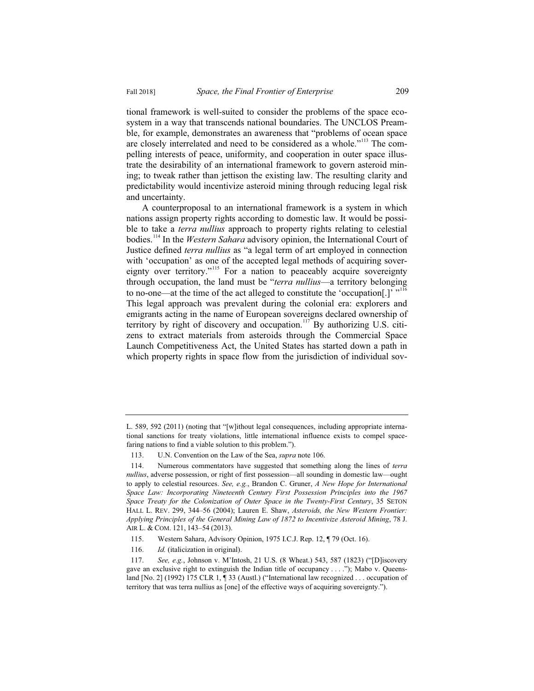tional framework is well-suited to consider the problems of the space ecosystem in a way that transcends national boundaries. The UNCLOS Preamble, for example, demonstrates an awareness that "problems of ocean space are closely interrelated and need to be considered as a whole."<sup>113</sup> The compelling interests of peace, uniformity, and cooperation in outer space illustrate the desirability of an international framework to govern asteroid mining; to tweak rather than jettison the existing law. The resulting clarity and predictability would incentivize asteroid mining through reducing legal risk and uncertainty.

A counterproposal to an international framework is a system in which nations assign property rights according to domestic law. It would be possible to take a *terra nullius* approach to property rights relating to celestial bodies.114 In the *Western Sahara* advisory opinion, the International Court of Justice defined *terra nullius* as "a legal term of art employed in connection with 'occupation' as one of the accepted legal methods of acquiring sovereignty over territory."<sup>115</sup> For a nation to peaceably acquire sovereignty through occupation, the land must be "*terra nullius*—a territory belonging to no-one—at the time of the act alleged to constitute the 'occupation[.]'  $"''''$ This legal approach was prevalent during the colonial era: explorers and emigrants acting in the name of European sovereigns declared ownership of territory by right of discovery and occupation.<sup>117</sup> By authorizing U.S. citizens to extract materials from asteroids through the Commercial Space Launch Competitiveness Act, the United States has started down a path in which property rights in space flow from the jurisdiction of individual sov-

L. 589, 592 (2011) (noting that "[w]ithout legal consequences, including appropriate international sanctions for treaty violations, little international influence exists to compel spacefaring nations to find a viable solution to this problem.").

 <sup>113.</sup> U.N. Convention on the Law of the Sea, *supra* note 106.

 <sup>114.</sup> Numerous commentators have suggested that something along the lines of *terra nullius*, adverse possession, or right of first possession—all sounding in domestic law—ought to apply to celestial resources. *See, e.g.*, Brandon C. Gruner, *A New Hope for International Space Law: Incorporating Nineteenth Century First Possession Principles into the 1967 Space Treaty for the Colonization of Outer Space in the Twenty-First Century*, 35 SETON HALL L. REV. 299, 344–56 (2004); Lauren E. Shaw, *Asteroids, the New Western Frontier: Applying Principles of the General Mining Law of 1872 to Incentivize Asteroid Mining*, 78 J. AIR L. & COM. 121, 143–54 (2013).

 <sup>115.</sup> Western Sahara, Advisory Opinion, 1975 I.C.J. Rep. 12, ¶ 79 (Oct. 16).

 <sup>116.</sup> *Id.* (italicization in original).

 <sup>117.</sup> *See, e.g.*, Johnson v. M'Intosh, 21 U.S. (8 Wheat.) 543, 587 (1823) ("[D]iscovery gave an exclusive right to extinguish the Indian title of occupancy  $\dots$ . The Mabo v. Queensland [No. 2] (1992) 175 CLR 1, ¶ 33 (Austl.) ("International law recognized . . . occupation of territory that was terra nullius as [one] of the effective ways of acquiring sovereignty.").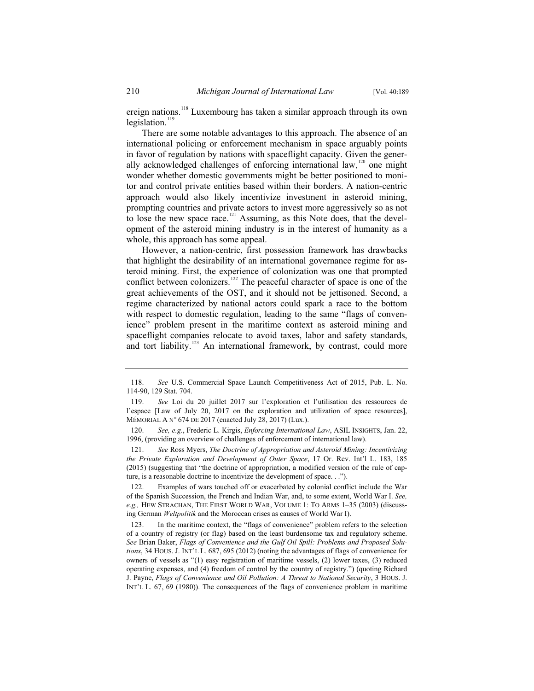ereign nations.<sup>118</sup> Luxembourg has taken a similar approach through its own  $legislation.<sup>1</sup>$ 

There are some notable advantages to this approach. The absence of an international policing or enforcement mechanism in space arguably points in favor of regulation by nations with spaceflight capacity. Given the generally acknowledged challenges of enforcing international law,  $120$  one might wonder whether domestic governments might be better positioned to monitor and control private entities based within their borders. A nation-centric approach would also likely incentivize investment in asteroid mining, prompting countries and private actors to invest more aggressively so as not to lose the new space race.<sup>121</sup> Assuming, as this Note does, that the development of the asteroid mining industry is in the interest of humanity as a whole, this approach has some appeal.

However, a nation-centric, first possession framework has drawbacks that highlight the desirability of an international governance regime for asteroid mining. First, the experience of colonization was one that prompted conflict between colonizers.<sup>122</sup> The peaceful character of space is one of the great achievements of the OST, and it should not be jettisoned. Second, a regime characterized by national actors could spark a race to the bottom with respect to domestic regulation, leading to the same "flags of convenience" problem present in the maritime context as asteroid mining and spaceflight companies relocate to avoid taxes, labor and safety standards, and tort liability.<sup>123</sup> An international framework, by contrast, could more

 <sup>118.</sup> *See* U.S. Commercial Space Launch Competitiveness Act of 2015, Pub. L. No. 114-90, 129 Stat. 704.

 <sup>119.</sup> *See* Loi du 20 juillet 2017 sur l'exploration et l'utilisation des ressources de l'espace [Law of July 20, 2017 on the exploration and utilization of space resources], MÉMORIAL A N° 674 DE 2017 (enacted July 28, 2017) (Lux.).

 <sup>120.</sup> *See, e.g.*, Frederic L. Kirgis, *Enforcing International Law*, ASIL INSIGHTS, Jan. 22, 1996, (providing an overview of challenges of enforcement of international law).

 <sup>121.</sup> *See* Ross Myers, *The Doctrine of Appropriation and Asteroid Mining: Incentivizing the Private Exploration and Development of Outer Space*, 17 Or. Rev. Int'l L. 183, 185 (2015) (suggesting that "the doctrine of appropriation, a modified version of the rule of capture, is a reasonable doctrine to incentivize the development of space. . .").

 <sup>122.</sup> Examples of wars touched off or exacerbated by colonial conflict include the War of the Spanish Succession, the French and Indian War, and, to some extent, World War I. *See, e.g.,* HEW STRACHAN, THE FIRST WORLD WAR, VOLUME 1: TO ARMS 1–35 (2003) (discussing German *Weltpolitik* and the Moroccan crises as causes of World War I).

 <sup>123.</sup> In the maritime context, the "flags of convenience" problem refers to the selection of a country of registry (or flag) based on the least burdensome tax and regulatory scheme. *See* Brian Baker, *Flags of Convenience and the Gulf Oil Spill: Problems and Proposed Solutions*, 34 HOUS. J. INT'L L. 687, 695 (2012) (noting the advantages of flags of convenience for owners of vessels as "(1) easy registration of maritime vessels, (2) lower taxes, (3) reduced operating expenses, and (4) freedom of control by the country of registry.") (quoting Richard J. Payne, *Flags of Convenience and Oil Pollution: A Threat to National Security*, 3 HOUS. J. INT'L L. 67, 69 (1980)). The consequences of the flags of convenience problem in maritime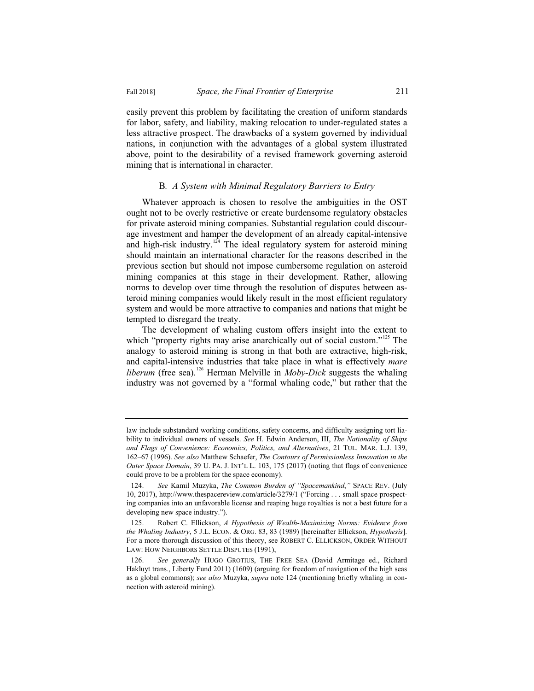easily prevent this problem by facilitating the creation of uniform standards for labor, safety, and liability, making relocation to under-regulated states a less attractive prospect. The drawbacks of a system governed by individual nations, in conjunction with the advantages of a global system illustrated above, point to the desirability of a revised framework governing asteroid mining that is international in character.

#### B*. A System with Minimal Regulatory Barriers to Entry*

Whatever approach is chosen to resolve the ambiguities in the OST ought not to be overly restrictive or create burdensome regulatory obstacles for private asteroid mining companies. Substantial regulation could discourage investment and hamper the development of an already capital-intensive and high-risk industry.<sup>124</sup> The ideal regulatory system for asteroid mining should maintain an international character for the reasons described in the previous section but should not impose cumbersome regulation on asteroid mining companies at this stage in their development. Rather, allowing norms to develop over time through the resolution of disputes between asteroid mining companies would likely result in the most efficient regulatory system and would be more attractive to companies and nations that might be tempted to disregard the treaty.

The development of whaling custom offers insight into the extent to which "property rights may arise anarchically out of social custom."<sup>125</sup> The analogy to asteroid mining is strong in that both are extractive, high-risk, and capital-intensive industries that take place in what is effectively *mare liberum* (free sea).<sup>126</sup> Herman Melville in *Moby-Dick* suggests the whaling industry was not governed by a "formal whaling code," but rather that the

law include substandard working conditions, safety concerns, and difficulty assigning tort liability to individual owners of vessels. *See* H. Edwin Anderson, III, *The Nationality of Ships and Flags of Convenience: Economics, Politics, and Alternatives*, 21 TUL. MAR. L.J. 139, 162–67 (1996). *See also* Matthew Schaefer, *The Contours of Permissionless Innovation in the Outer Space Domain*, 39 U. PA. J. INT'L L. 103, 175 (2017) (noting that flags of convenience could prove to be a problem for the space economy).

 <sup>124.</sup> *See* Kamil Muzyka, *The Common Burden of "Spacemankind*,*"* SPACE REV. (July 10, 2017), http://www.thespacereview.com/article/3279/1 ("Forcing . . . small space prospecting companies into an unfavorable license and reaping huge royalties is not a best future for a developing new space industry.").

 <sup>125.</sup> Robert C. Ellickson, *A Hypothesis of Wealth-Maximizing Norms: Evidence from the Whaling Industry*, 5 J.L. ECON. & ORG. 83, 83 (1989) [hereinafter Ellickson, *Hypothesis*]. For a more thorough discussion of this theory, see ROBERT C. ELLICKSON, ORDER WITHOUT LAW: HOW NEIGHBORS SETTLE DISPUTES (1991),

 <sup>126.</sup> *See generally* HUGO GROTIUS, THE FREE SEA (David Armitage ed., Richard Hakluyt trans., Liberty Fund 2011) (1609) (arguing for freedom of navigation of the high seas as a global commons); *see also* Muzyka, *supra* note 124 (mentioning briefly whaling in connection with asteroid mining).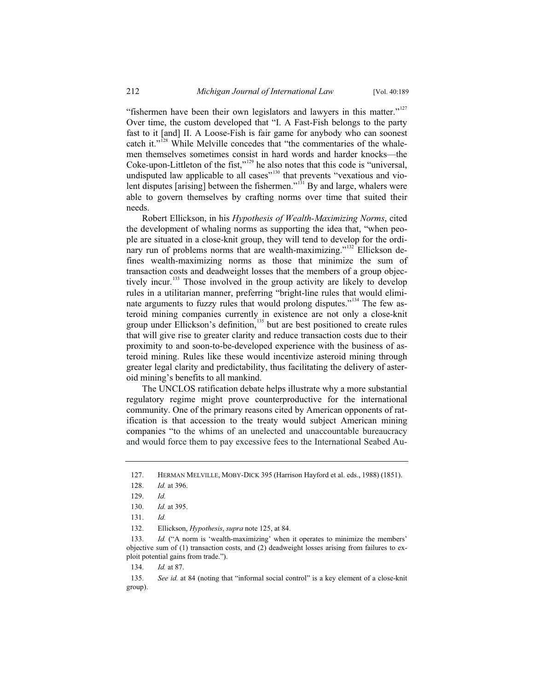"fishermen have been their own legislators and lawyers in this matter."<sup>127</sup> Over time, the custom developed that "I. A Fast-Fish belongs to the party fast to it [and] II. A Loose-Fish is fair game for anybody who can soonest catch it."<sup>128</sup> While Melville concedes that "the commentaries of the whalemen themselves sometimes consist in hard words and harder knocks—the Coke-upon-Littleton of the fist," $129$  he also notes that this code is "universal, undisputed law applicable to all cases"<sup>130</sup> that prevents "vexatious and violent disputes [arising] between the fishermen."<sup>131</sup> By and large, whalers were able to govern themselves by crafting norms over time that suited their needs.

Robert Ellickson, in his *Hypothesis of Wealth-Maximizing Norms*, cited the development of whaling norms as supporting the idea that, "when people are situated in a close-knit group, they will tend to develop for the ordinary run of problems norms that are wealth-maximizing."<sup>132</sup> Ellickson defines wealth-maximizing norms as those that minimize the sum of transaction costs and deadweight losses that the members of a group objectively incur.<sup>133</sup> Those involved in the group activity are likely to develop rules in a utilitarian manner, preferring "bright-line rules that would eliminate arguments to fuzzy rules that would prolong disputes."<sup>134</sup> The few asteroid mining companies currently in existence are not only a close-knit group under Ellickson's definition,<sup>135</sup> but are best positioned to create rules that will give rise to greater clarity and reduce transaction costs due to their proximity to and soon-to-be-developed experience with the business of asteroid mining. Rules like these would incentivize asteroid mining through greater legal clarity and predictability, thus facilitating the delivery of asteroid mining's benefits to all mankind.

The UNCLOS ratification debate helps illustrate why a more substantial regulatory regime might prove counterproductive for the international community. One of the primary reasons cited by American opponents of ratification is that accession to the treaty would subject American mining companies "to the whims of an unelected and unaccountable bureaucracy and would force them to pay excessive fees to the International Seabed Au-

133. *Id.* ("A norm is 'wealth-maximizing' when it operates to minimize the members' objective sum of (1) transaction costs, and (2) deadweight losses arising from failures to exploit potential gains from trade.").

134. *Id.* at 87.

135. *See id.* at 84 (noting that "informal social control" is a key element of a close-knit group).

<sup>127.</sup> HERMAN MELVILLE, MOBY-DICK 395 (Harrison Hayford et al. eds., 1988) (1851).

<sup>128.</sup> *Id.* at 396.

<sup>129.</sup> *Id.*

<sup>130.</sup> *Id.* at 395.

<sup>131.</sup> *Id.*

<sup>132.</sup> Ellickson, *Hypothesis*, *supra* note 125, at 84.